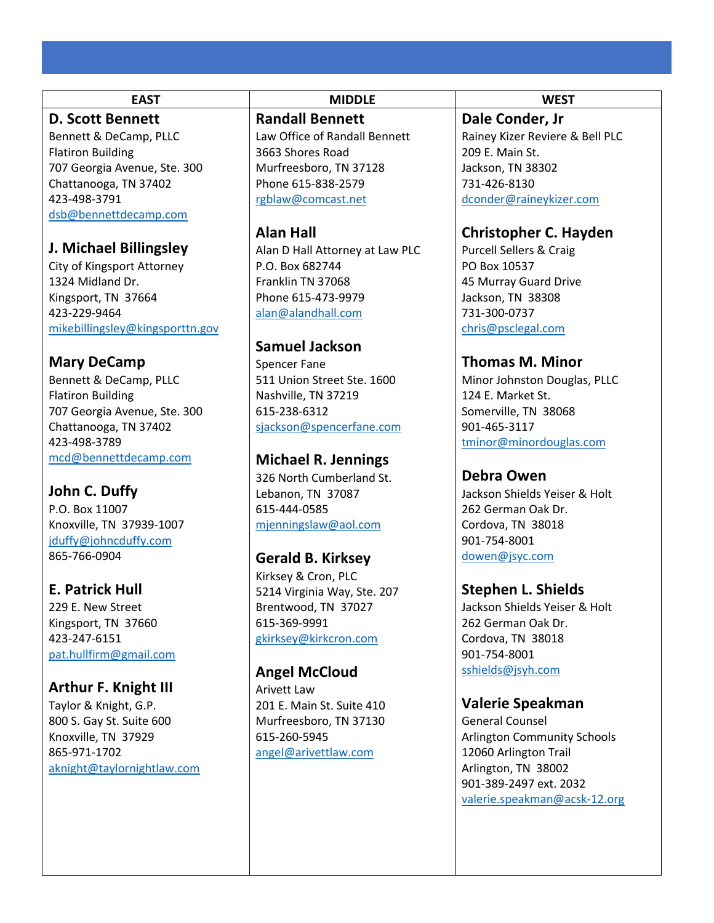## **D. Scott Bennett**

Bennett & DeCamp, PLLC Flatiron Building 707 Georgia Avenue, Ste. 300 Chattanooga, TN 37402 423-498-3791 dsb@bennettdecamp.com

## **J. Michael Billingsley**

City of Kingsport Attorney 1324 Midland Dr. Kingsport, TN 37664 423-229-9464 mikebillingsley@kingsporttn.gov

## **Mary DeCamp**

Bennett & DeCamp, PLLC Flatiron Building 707 Georgia Avenue, Ste. 300 Chattanooga, TN 37402 423-498-3789 mcd@bennettdecamp.com

## **John C. Duffy**

P.O. Box 11007 Knoxville, TN 37939-1007 jduffy@johncduffy.com 865-766-0904

# **E. Patrick Hull**

229 E. New Street Kingsport, TN 37660 423-247-6151 pat.hullfirm@gmail.com

#### **Arthur F. Knight III**

Taylor & Knight, G.P. 800 S. Gay St. Suite 600 Knoxville, TN 37929 865-971-1702 aknight@taylornightlaw.com

#### **EAST MIDDLE WEST**

#### **Randall Bennett**

Law Office of Randall Bennett 3663 Shores Road Murfreesboro, TN 37128 Phone 615-838-2579 rgblaw@comcast.net

## **Alan Hall**

Alan D Hall Attorney at Law PLC P.O. Box 682744 Franklin TN 37068 Phone 615-473-9979 alan@alandhall.com

## **Samuel Jackson**

Spencer Fane 511 Union Street Ste. 1600 Nashville, TN 37219 615-238-6312 sjackson@spencerfane.com

## **Michael R. Jennings**

326 North Cumberland St. Lebanon, TN 37087 615-444-0585 mjenningslaw@aol.com

## **Gerald B. Kirksey**

Kirksey & Cron, PLC 5214 Virginia Way, Ste. 207 Brentwood, TN 37027 615-369-9991 gkirksey@kirkcron.com

## **Angel McCloud**

Arivett Law 201 E. Main St. Suite 410 Murfreesboro, TN 37130 615-260-5945 angel@arivettlaw.com

**Dale Conder, Jr** Rainey Kizer Reviere & Bell PLC 209 E. Main St. Jackson, TN 38302 731-426-8130 dconder@raineykizer.com

## **Christopher C. Hayden**

Purcell Sellers & Craig PO Box 10537 45 Murray Guard Drive Jackson, TN 38308 731-300-0737 chris@psclegal.com

## **Thomas M. Minor**

Minor Johnston Douglas, PLLC 124 E. Market St. Somerville, TN 38068 901-465-3117 tminor@minordouglas.com

## **Debra Owen**

Jackson Shields Yeiser & Holt 262 German Oak Dr. Cordova, TN 38018 901-754-8001 dowen@jsyc.com

## **Stephen L. Shields**

Jackson Shields Yeiser & Holt 262 German Oak Dr. Cordova, TN 38018 901-754-8001 sshields@jsyh.com

## **Valerie Speakman**

General Counsel Arlington Community Schools 12060 Arlington Trail Arlington, TN 38002 901-389-2497 ext. 2032 valerie.speakman@acsk-12.org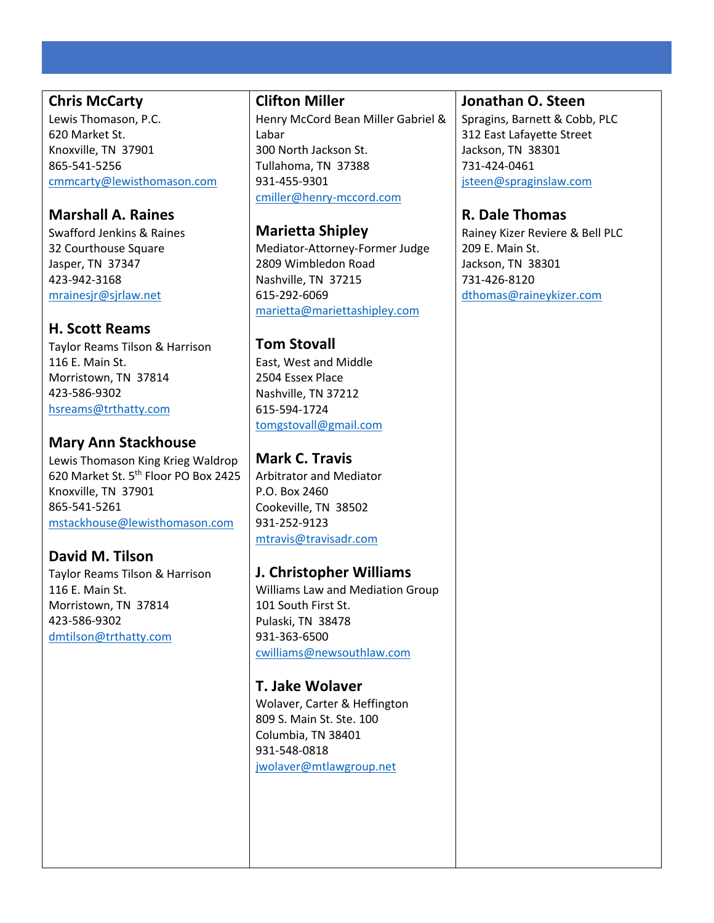#### **Chris McCarty**

Lewis Thomason, P.C. 620 Market St. Knoxville, TN 37901 865-541-5256 cmmcarty@lewisthomason.com

## **Marshall A. Raines**

Swafford Jenkins & Raines 32 Courthouse Square Jasper, TN 37347 423-942-3168 mrainesjr@sjrlaw.net

## **H. Scott Reams**

Taylor Reams Tilson & Harrison 116 E. Main St. Morristown, TN 37814 423-586-9302 hsreams@trthatty.com

# **Mary Ann Stackhouse**

Lewis Thomason King Krieg Waldrop 620 Market St. 5<sup>th</sup> Floor PO Box 2425 Knoxville, TN 37901 865-541-5261 mstackhouse@lewisthomason.com

## **David M. Tilson**

Taylor Reams Tilson & Harrison 116 E. Main St. Morristown, TN 37814 423-586-9302 dmtilson@trthatty.com

#### **Clifton Miller**

Henry McCord Bean Miller Gabriel & Labar 300 North Jackson St. Tullahoma, TN 37388 931-455-9301 cmiller@henry-mccord.com

**Marietta Shipley** Mediator-Attorney-Former Judge 2809 Wimbledon Road Nashville, TN 37215 615-292-6069 marietta@mariettashipley.com

## **Tom Stovall**

East, West and Middle 2504 Essex Place Nashville, TN 37212 615-594-1724 tomgstovall@gmail.com

## **Mark C. Travis**

Arbitrator and Mediator P.O. Box 2460 Cookeville, TN 38502 931-252-9123 mtravis@travisadr.com

## **J. Christopher Williams**

Williams Law and Mediation Group 101 South First St. Pulaski, TN 38478 931-363-6500 cwilliams@newsouthlaw.com

## **T. Jake Wolaver**

Wolaver, Carter & Heffington 809 S. Main St. Ste. 100 Columbia, TN 38401 931-548-0818 jwolaver@mtlawgroup.net

#### **Jonathan O. Steen**

Spragins, Barnett & Cobb, PLC 312 East Lafayette Street Jackson, TN 38301 731-424-0461 jsteen@spraginslaw.com

## **R. Dale Thomas**

Rainey Kizer Reviere & Bell PLC 209 E. Main St. Jackson, TN 38301 731-426-8120 dthomas@raineykizer.com